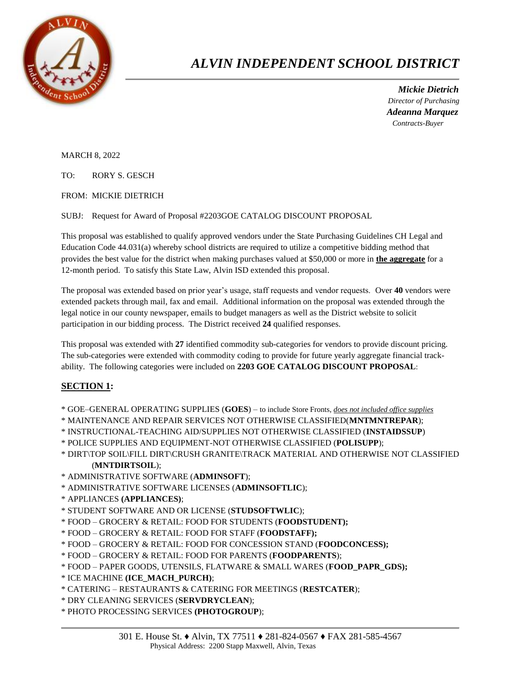

## *ALVIN INDEPENDENT SCHOOL DISTRICT*

 *Mickie Dietrich Director of Purchasing Adeanna Marquez Contracts-Buyer*

MARCH 8, 2022

TO: RORY S. GESCH

FROM: MICKIE DIETRICH

SUBJ: Request for Award of Proposal #2203GOE CATALOG DISCOUNT PROPOSAL

This proposal was established to qualify approved vendors under the State Purchasing Guidelines CH Legal and Education Code 44.031(a) whereby school districts are required to utilize a competitive bidding method that provides the best value for the district when making purchases valued at \$50,000 or more in **the aggregate** for a 12-month period. To satisfy this State Law, Alvin ISD extended this proposal.

The proposal was extended based on prior year's usage, staff requests and vendor requests. Over **40** vendors were extended packets through mail, fax and email. Additional information on the proposal was extended through the legal notice in our county newspaper, emails to budget managers as well as the District website to solicit participation in our bidding process. The District received **24** qualified responses.

This proposal was extended with **27** identified commodity sub-categories for vendors to provide discount pricing. The sub-categories were extended with commodity coding to provide for future yearly aggregate financial trackability. The following categories were included on **2203 GOE CATALOG DISCOUNT PROPOSAL**:

## **SECTION 1:**

- \* GOE–GENERAL OPERATING SUPPLIES (**GOES**) to include Store Fronts, *does not included office supplies*
- \* MAINTENANCE AND REPAIR SERVICES NOT OTHERWISE CLASSIFIED(**MNTMNTREPAR**);
- \* INSTRUCTIONAL-TEACHING AID/SUPPLIES NOT OTHERWISE CLASSIFIED (**INSTAIDSSUP**)
- \* POLICE SUPPLIES AND EQUIPMENT-NOT OTHERWISE CLASSIFIED (**POLISUPP**);
- \* DIRT\TOP SOIL\FILL DIRT\CRUSH GRANITE\TRACK MATERIAL AND OTHERWISE NOT CLASSIFIED (**MNTDIRTSOIL**);
- \* ADMINISTRATIVE SOFTWARE (**ADMINSOFT**);
- \* ADMINISTRATIVE SOFTWARE LICENSES (**ADMINSOFTLIC**);
- \* APPLIANCES **(APPLIANCES)**;
- \* STUDENT SOFTWARE AND OR LICENSE (**STUDSOFTWLIC**);
- \* FOOD GROCERY & RETAIL: FOOD FOR STUDENTS (**FOODSTUDENT);**
- \* FOOD GROCERY & RETAIL: FOOD FOR STAFF (**FOODSTAFF);**
- \* FOOD GROCERY & RETAIL: FOOD FOR CONCESSION STAND (**FOODCONCESS);**
- \* FOOD GROCERY & RETAIL: FOOD FOR PARENTS (**FOODPARENTS**);
- \* FOOD PAPER GOODS, UTENSILS, FLATWARE & SMALL WARES (**FOOD\_PAPR\_GDS);**
- \* ICE MACHINE **(ICE\_MACH\_PURCH)**;
- \* CATERING RESTAURANTS & CATERING FOR MEETINGS (**RESTCATER**);
- \* DRY CLEANING SERVICES (**SERVDRYCLEAN**);

\* PHOTO PROCESSING SERVICES **(PHOTOGROUP**);